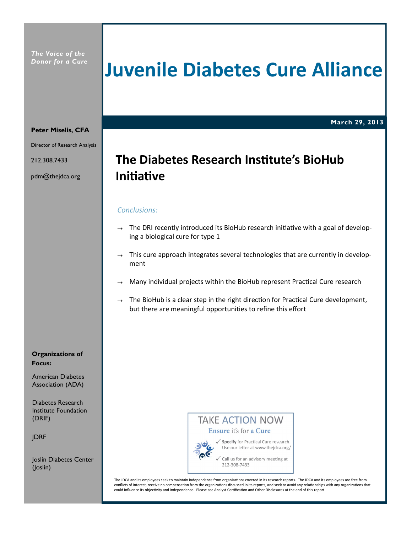*The Voice of the Donor for a Cure*

# **Juvenile Diabetes Cure Alliance**

**March 29, 2013**

#### **Peter Miselis, CFA**

Director of Research Analysis

212.308.7433

pdm@thejdca.org

## **The Diabetes Research InsƟtute's BioHub IniƟaƟve**

#### *Conclusions:*

- $\rightarrow$  The DRI recently introduced its BioHub research initiative with a goal of developing a biological cure for type 1
- $\rightarrow$  This cure approach integrates several technologies that are currently in development
- Many individual projects within the BioHub represent Practical Cure research
- $\rightarrow$  The BioHub is a clear step in the right direction for Practical Cure development, but there are meaningful opportunities to refine this effort

#### **Organizations of Focus:**

American Diabetes Association (ADA)

Diabetes Research Institute Foundation (DRIF)

JDRF

Joslin Diabetes Center (Joslin)

### **TAKE ACTION NOW** Ensure it's for a Cure



√ Specify for Practical Cure research. Use our letter at www.thejdca.org/

Call us for an advisory meeting at 212-308-7433

The JDCA and its employees seek to maintain independence from organizations covered in its research reports. The JDCA and its employees are free from conflicts of interest, receive no compensation from the organizations discussed in its reports, and seek to avoid any relationships with any organizations that could influence its objectivity and independence. Please see Analyst Certification and Other Disclosures at the end of this report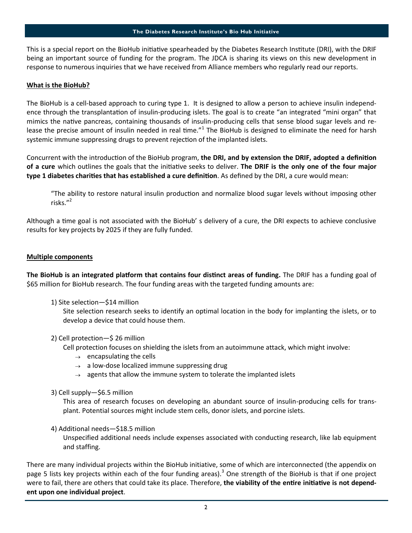This is a special report on the BioHub initiative spearheaded by the Diabetes Research Institute (DRI), with the DRIF being an important source of funding for the program. The JDCA is sharing its views on this new development in response to numerous inquiries that we have received from Alliance members who regularly read our reports.

#### **What is the BioHub?**

The BioHub is a cell-based approach to curing type 1. It is designed to allow a person to achieve insulin independence through the transplantation of insulin-producing islets. The goal is to create "an integrated "mini organ" that mimics the native pancreas, containing thousands of insulin-producing cells that sense blood sugar levels and release the precise amount of insulin needed in real time." $1$  The BioHub is designed to eliminate the need for harsh systemic immune suppressing drugs to prevent rejection of the implanted islets.

Concurrent with the introduction of the BioHub program, **the DRI, and by extension the DRIF, adopted a definition of a cure** which outlines the goals that the iniƟaƟve seeks to deliver. **The DRIF is the only one of the four major type 1 diabetes charities that has established a cure definition**. As defined by the DRI, a cure would mean:

"The ability to restore natural insulin production and normalize blood sugar levels without imposing other risks."<sup>2</sup>

Although a time goal is not associated with the BioHub' s delivery of a cure, the DRI expects to achieve conclusive results for key projects by 2025 if they are fully funded.

#### **Multiple components**

**The BioHub is an integrated platform that contains four distinct areas of funding.** The DRIF has a funding goal of \$65 million for BioHub research. The four funding areas with the targeted funding amounts are:

1) Site selection—\$14 million

Site selection research seeks to identify an optimal location in the body for implanting the islets, or to develop a device that could house them.

#### 2) Cell protection—\$ 26 million

Cell protection focuses on shielding the islets from an autoimmune attack, which might involve:

- $\rightarrow$  encapsulating the cells
- $\rightarrow$  a low-dose localized immune suppressing drug
- $\rightarrow$  agents that allow the immune system to tolerate the implanted islets
- 3) Cell supply—\$6.5 million

This area of research focuses on developing an abundant source of insulin-producing cells for transplant. Potential sources might include stem cells, donor islets, and porcine islets.

#### 4) Additional needs—\$18.5 million

Unspecified additional needs include expenses associated with conducting research, like lab equipment and staffing.

There are many individual projects within the BioHub initiative, some of which are interconnected (the appendix on page 5 lists key projects within each of the four funding areas).<sup>3</sup> One strength of the BioHub is that if one project were to fail, there are others that could take its place. Therefore, the viability of the entire initiative is not depend**ent upon one individual project**.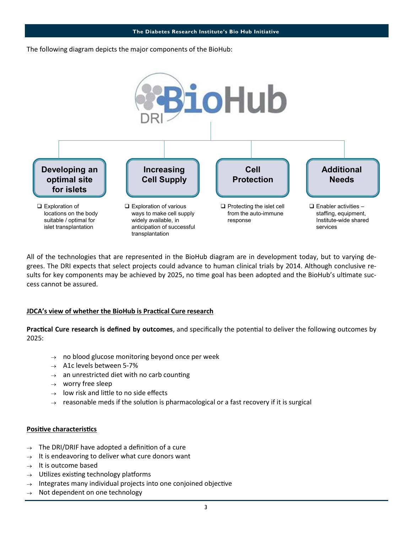The following diagram depicts the major components of the BioHub:



All of the technologies that are represented in the BioHub diagram are in development today, but to varying degrees. The DRI expects that select projects could advance to human clinical trials by 2014. Although conclusive results for key components may be achieved by 2025, no time goal has been adopted and the BioHub's ultimate success cannot be assured.

#### **JDCA's view of whether the BioHub is PracƟcal Cure research**

Practical Cure research is defined by outcomes, and specifically the potential to deliver the following outcomes by 2025:

- $\rightarrow$  no blood glucose monitoring beyond once per week
- $\rightarrow$  A1c levels between 5-7%
- $\rightarrow$  an unrestricted diet with no carb counting
- $\rightarrow$  worry free sleep
- $\rightarrow$  low risk and little to no side effects
- $\rightarrow$  reasonable meds if the solution is pharmacological or a fast recovery if it is surgical

#### **Positive characteristics**

- $\rightarrow$  The DRI/DRIF have adopted a definition of a cure
- $\rightarrow$  It is endeavoring to deliver what cure donors want
- $\rightarrow$  It is outcome based
- $\rightarrow$  Utilizes existing technology platforms
- $\rightarrow$  Integrates many individual projects into one conjoined objective
- $\rightarrow$  Not dependent on one technology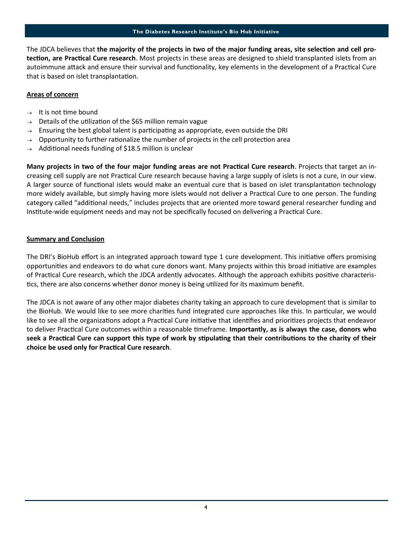The JDCA believes that **the majority of the projects in two of the major funding areas, site selection and cell protection, are Practical Cure research**. Most projects in these areas are designed to shield transplanted islets from an autoimmune attack and ensure their survival and functionality, key elements in the development of a Practical Cure that is based on islet transplantation.

#### **Areas of concern**

- $\rightarrow$  It is not time bound
- $\rightarrow$  Details of the utilization of the \$65 million remain vague
- $\rightarrow$  Ensuring the best global talent is participating as appropriate, even outside the DRI
- $\rightarrow$  Opportunity to further rationalize the number of projects in the cell protection area
- $\rightarrow$  Additional needs funding of \$18.5 million is unclear

**Many projects in two of the four major funding areas are not Practical Cure research**. Projects that target an increasing cell supply are not Practical Cure research because having a large supply of islets is not a cure, in our view. A larger source of functional islets would make an eventual cure that is based on islet transplantation technology more widely available, but simply having more islets would not deliver a Practical Cure to one person. The funding category called "additional needs," includes projects that are oriented more toward general researcher funding and Institute-wide equipment needs and may not be specifically focused on delivering a Practical Cure.

#### **Summary and Conclusion**

The DRI's BioHub effort is an integrated approach toward type 1 cure development. This initiative offers promising opportunities and endeavors to do what cure donors want. Many projects within this broad initiative are examples of Practical Cure research, which the JDCA ardently advocates. Although the approach exhibits positive characteristics, there are also concerns whether donor money is being utilized for its maximum benefit.

The JDCA is not aware of any other major diabetes charity taking an approach to cure development that is similar to the BioHub. We would like to see more charities fund integrated cure approaches like this. In particular, we would like to see all the organizations adopt a Practical Cure initiative that identifies and prioritizes projects that endeavor to deliver Practical Cure outcomes within a reasonable timeframe. Importantly, as is always the case, donors who seek a Practical Cure can support this type of work by stipulating that their contributions to the charity of their **choice be used only for PracƟcal Cure research**.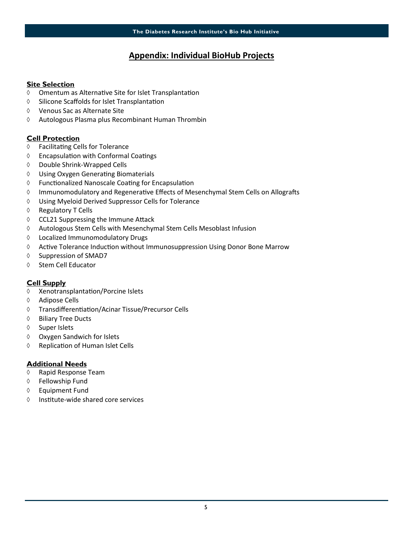### **Appendix: Individual BioHub Projects**

#### **Site Selection**

- $\lozenge$  Omentum as Alternative Site for Islet Transplantation
- $\lozenge$  Silicone Scaffolds for Islet Transplantation
- Venous Sac as Alternate Site
- Autologous Plasma plus Recombinant Human Thrombin

#### **Cell Protection**

- ♦ Facilitating Cells for Tolerance
- $\lozenge$  Encapsulation with Conformal Coatings
- Double Shrink-Wrapped Cells
- $\Diamond$  Using Oxygen Generating Biomaterials
- $\Diamond$  Functionalized Nanoscale Coating for Encapsulation
- $\Diamond$  Immunomodulatory and Regenerative Effects of Mesenchymal Stem Cells on Allografts
- Using Myeloid Derived Suppressor Cells for Tolerance
- ♦ Regulatory T Cells
- $\lozenge$  CCL21 Suppressing the Immune Attack
- Autologous Stem Cells with Mesenchymal Stem Cells Mesoblast Infusion
- Localized Immunomodulatory Drugs
- $\Diamond$  Active Tolerance Induction without Immunosuppression Using Donor Bone Marrow
- $\Diamond$  Suppression of SMAD7
- ♦ Stem Cell Educator

#### **Cell Supply**

- $\Diamond$  Xenotransplantation/Porcine Islets
- Adipose Cells
- ♦ Transdifferentiation/Acinar Tissue/Precursor Cells
- ♦ Biliary Tree Ducts
- ♦ Super Islets
- Oxygen Sandwich for Islets
- $\Diamond$  Replication of Human Islet Cells

#### **Additional Needs**

- Rapid Response Team
- Fellowship Fund
- Equipment Fund
- $\Diamond$  Institute-wide shared core services